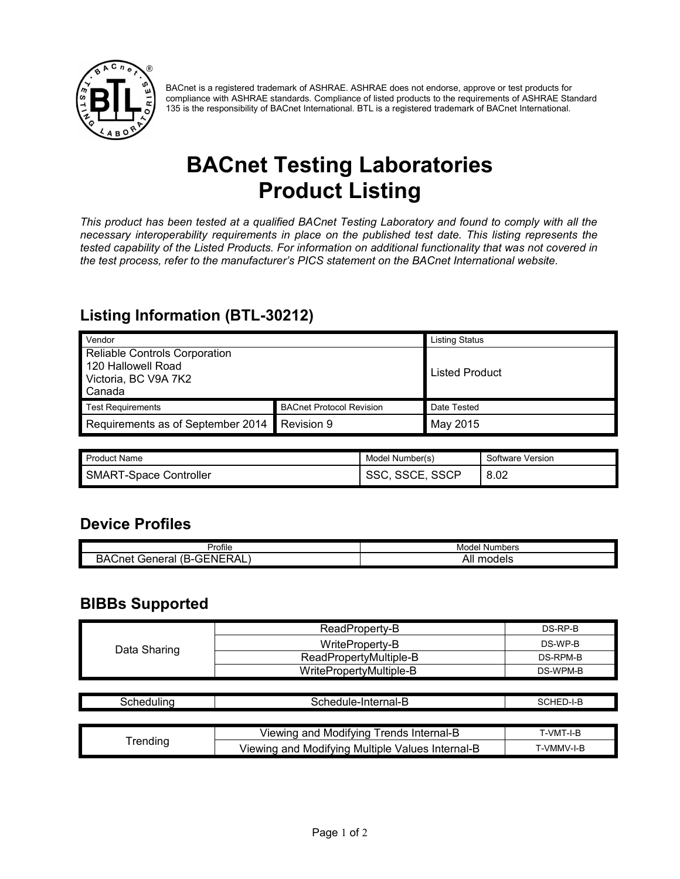

BACnet is a registered trademark of ASHRAE. ASHRAE does not endorse, approve or test products for compliance with ASHRAE standards. Compliance of listed products to the requirements of ASHRAE Standard 135 is the responsibility of BACnet International. BTL is a registered trademark of BACnet International.

# **BACnet Testing Laboratories Product Listing**

*This product has been tested at a qualified BACnet Testing Laboratory and found to comply with all the necessary interoperability requirements in place on the published test date. This listing represents the tested capability of the Listed Products. For information on additional functionality that was not covered in the test process, refer to the manufacturer's PICS statement on the BACnet International website.*

### **Listing Information (BTL-30212)**

| Vendor                                                                                |                                 | <b>Listing Status</b> |
|---------------------------------------------------------------------------------------|---------------------------------|-----------------------|
| Reliable Controls Corporation<br>120 Hallowell Road<br>Victoria, BC V9A 7K2<br>Canada |                                 | <b>Listed Product</b> |
| <b>Test Requirements</b>                                                              | <b>BACnet Protocol Revision</b> | Date Tested           |
| Requirements as of September 2014                                                     | Revision 9                      | May 2015              |

| <b>Product Name</b>           | Model Number(s) | Software Version |
|-------------------------------|-----------------|------------------|
| <b>SMART-Space Controller</b> | <b>SSCP</b>     | 8.02             |

#### **Device Profiles**

| Profile                                                                                                        | Numbers<br>Model     |
|----------------------------------------------------------------------------------------------------------------|----------------------|
| $\mathsf{GFNER}^2$<br>۸Ι<br>$\overline{\phantom{a}}$<br>∴net<br>∴oener …<br>BA'<br>Fid<br>`-<br>¬∟.<br>$\cdot$ | . .<br>All<br>models |

#### **BIBBs Supported**

| Data Sharing | ReadProperty-B          | DS-RP-B  |
|--------------|-------------------------|----------|
|              | WriteProperty-B         | DS-WP-B  |
|              | ReadPropertyMultiple-B  | DS-RPM-B |
|              | WritePropertyMultiple-B | DS-WPM-B |

| Scheduling      | Schedule-Internal-B                              | SCHED-I-B  |
|-----------------|--------------------------------------------------|------------|
|                 |                                                  |            |
| <b>Trending</b> | Viewing and Modifying Trends Internal-B          | T-VMT-I-B  |
|                 | Viewing and Modifying Multiple Values Internal-B | T-VMMV-I-B |